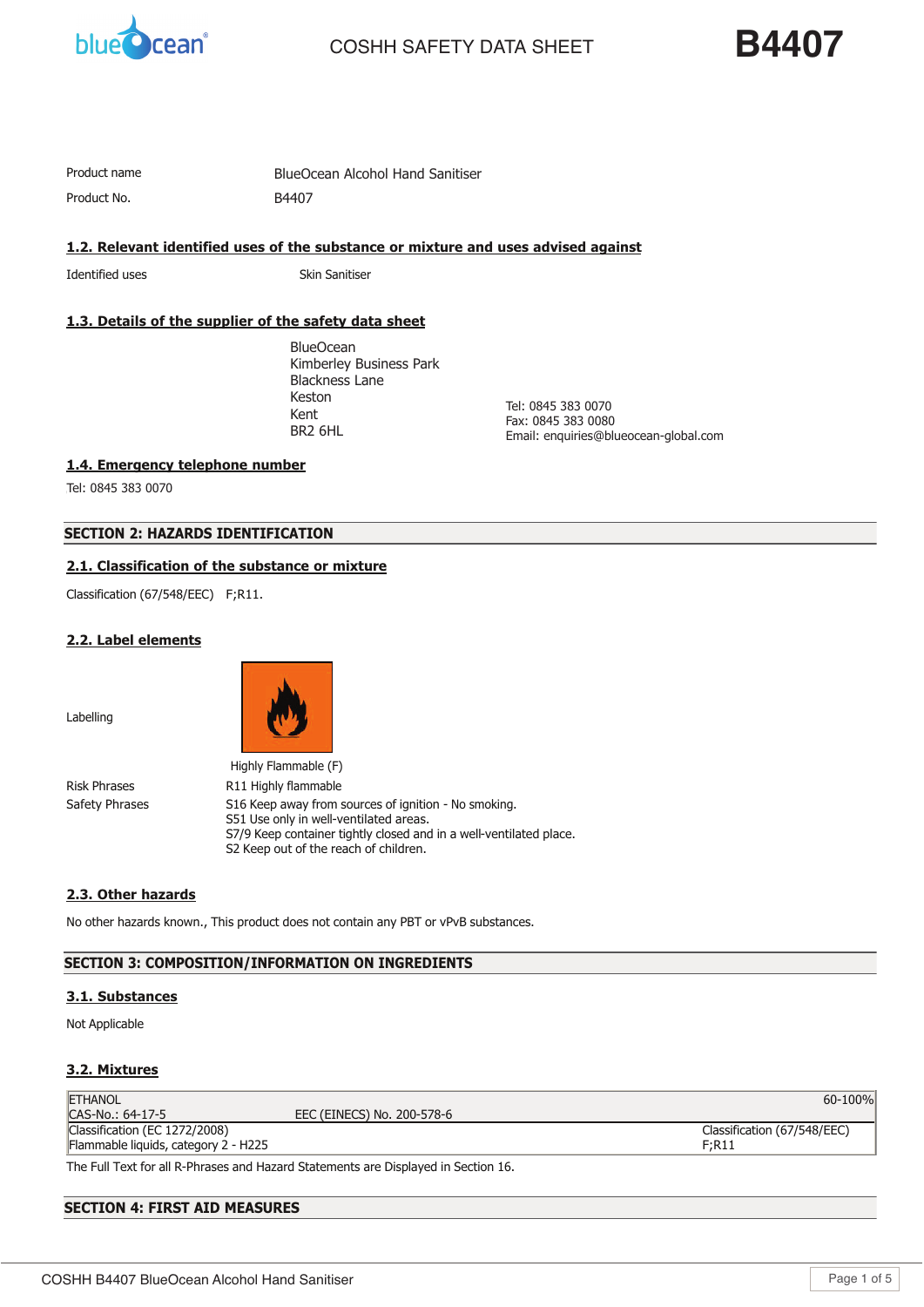

# **COSHH SAFETY DATA SHEET**

**B4407** 

Product No.

Product name **TRUST S** BlueOcean Alcohol Hand Sanitiser B4407

**1.2. Relevant identified uses of the substance or mixture and uses advised against**

Identified uses Skin Sanitiser

# **1.3. Details of the supplier of the safety data sheet**

**BlueOcean** Kimberley Business Park Blackness Lane Keston Derbyshire Kent ان<br>مدیر در ۱۱۱ BR2 6HL

 $\overline{0}$ Tel: 0845 383 0070 Fax: 0845 383 0080 Email: enquiries@blueocean-global.com

**1.4. Emergency telephone number**

**01298 26226** Tel: 0845 383 0070

# **SECTION 2: HAZARDS IDENTIFICATION**

# **2.1. Classification of the substance or mixture**

Classification (67/548/EEC) F;R11.

#### **2.2. Label elements**

Labelling



|                | Highly Flammable (F)                                                                                                                                                                                          |
|----------------|---------------------------------------------------------------------------------------------------------------------------------------------------------------------------------------------------------------|
| Risk Phrases   | R11 Highly flammable                                                                                                                                                                                          |
| Safety Phrases | S16 Keep away from sources of ignition - No smoking.<br>S51 Use only in well-ventilated areas.<br>S7/9 Keep container tightly closed and in a well-ventilated place.<br>S2 Keep out of the reach of children. |

# **2.3. Other hazards**

No other hazards known., This product does not contain any PBT or vPvB substances.

# **SECTION 3: COMPOSITION/INFORMATION ON INGREDIENTS**

# **3.1. Substances**

Not Applicable

# **3.2. Mixtures**

| <b>ETHANOL</b>                       |                            | 60-100%                     |
|--------------------------------------|----------------------------|-----------------------------|
| CAS-No.: 64-17-5                     | EEC (EINECS) No. 200-578-6 |                             |
| Classification (EC 1272/2008)        |                            | Classification (67/548/EEC) |
| Flammable liquids, category 2 - H225 |                            | F;R11                       |
|                                      |                            |                             |

The Full Text for all R-Phrases and Hazard Statements are Displayed in Section 16.

# **SECTION 4: FIRST AID MEASURES**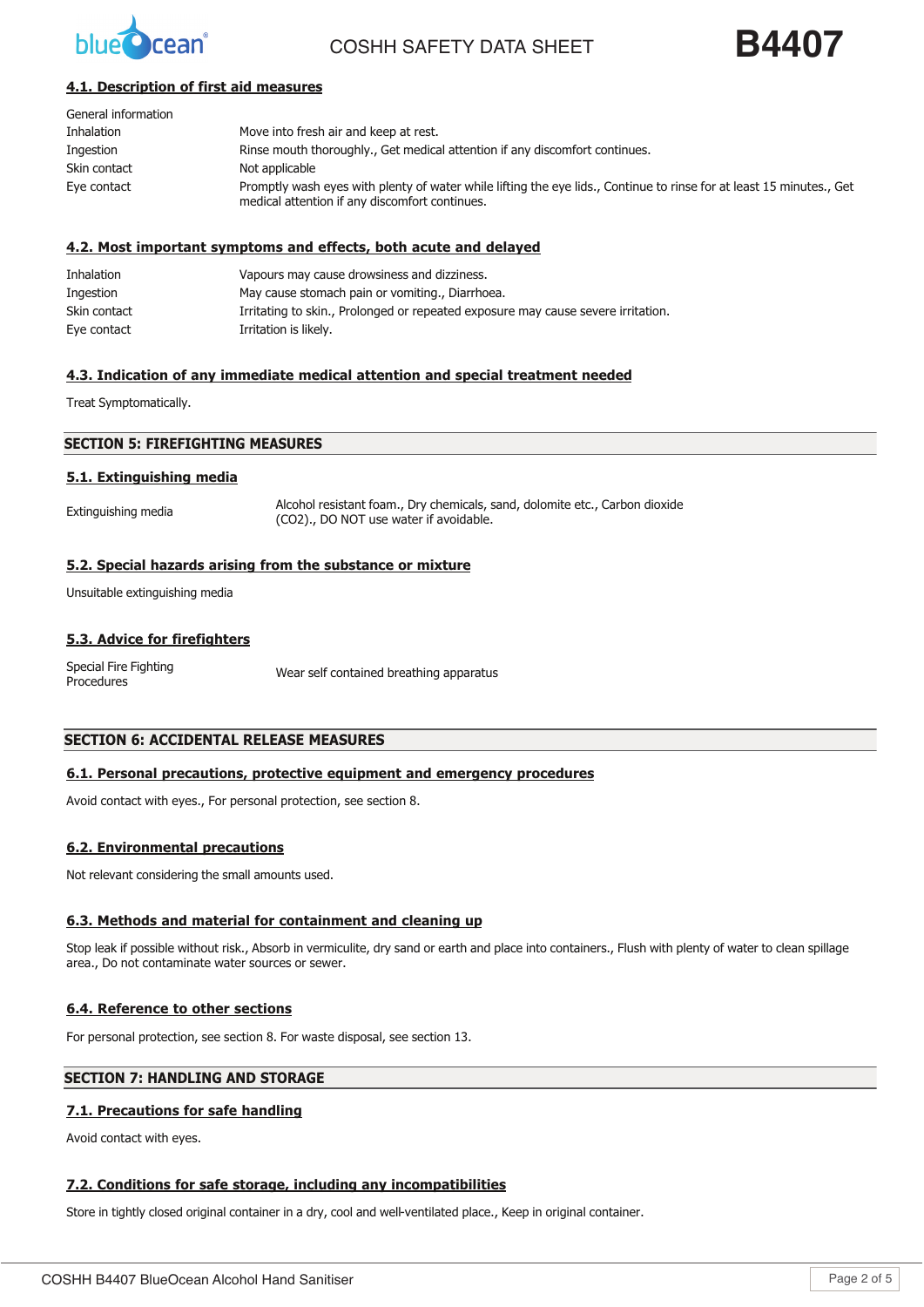

COSHH SAFFTY DATA SHFFT



# **4.1. Description of first aid measures**

| General information |                                                                                                                                                                        |
|---------------------|------------------------------------------------------------------------------------------------------------------------------------------------------------------------|
| <b>Inhalation</b>   | Move into fresh air and keep at rest.                                                                                                                                  |
| Ingestion           | Rinse mouth thoroughly., Get medical attention if any discomfort continues.                                                                                            |
| Skin contact        | Not applicable                                                                                                                                                         |
| Eye contact         | Promptly wash eyes with plenty of water while lifting the eye lids., Continue to rinse for at least 15 minutes., Get<br>medical attention if any discomfort continues. |

#### **4.2. Most important symptoms and effects, both acute and delayed**

| Inhalation   | Vapours may cause drowsiness and dizziness.                                      |
|--------------|----------------------------------------------------------------------------------|
| Ingestion    | May cause stomach pain or vomiting., Diarrhoea.                                  |
| Skin contact | Irritating to skin., Prolonged or repeated exposure may cause severe irritation. |
| Eye contact  | Irritation is likely.                                                            |

#### **4.3. Indication of any immediate medical attention and special treatment needed**

Treat Symptomatically.

#### **SECTION 5: FIREFIGHTING MEASURES**

#### **5.1. Extinguishing media**

Extinguishing media Alcohol resistant foam., Dry chemicals, sand, dolomite etc., Carbon dioxide (CO2)., DO NOT use water if avoidable.

#### **5.2. Special hazards arising from the substance or mixture**

Unsuitable extinguishing media

#### **5.3. Advice for firefighters**

Special Fire Fighting Special Fire Fighting<br>Procedures

## **SECTION 6: ACCIDENTAL RELEASE MEASURES**

#### **6.1. Personal precautions, protective equipment and emergency procedures**

Avoid contact with eyes., For personal protection, see section 8.

#### **6.2. Environmental precautions**

Not relevant considering the small amounts used.

#### **6.3. Methods and material for containment and cleaning up**

Stop leak if possible without risk., Absorb in vermiculite, dry sand or earth and place into containers., Flush with plenty of water to clean spillage area., Do not contaminate water sources or sewer.

#### **6.4. Reference to other sections**

For personal protection, see section 8. For waste disposal, see section 13.

# **SECTION 7: HANDLING AND STORAGE**

#### **7.1. Precautions for safe handling**

Avoid contact with eyes.

#### **7.2. Conditions for safe storage, including any incompatibilities**

Store in tightly closed original container in a dry, cool and well-ventilated place., Keep in original container.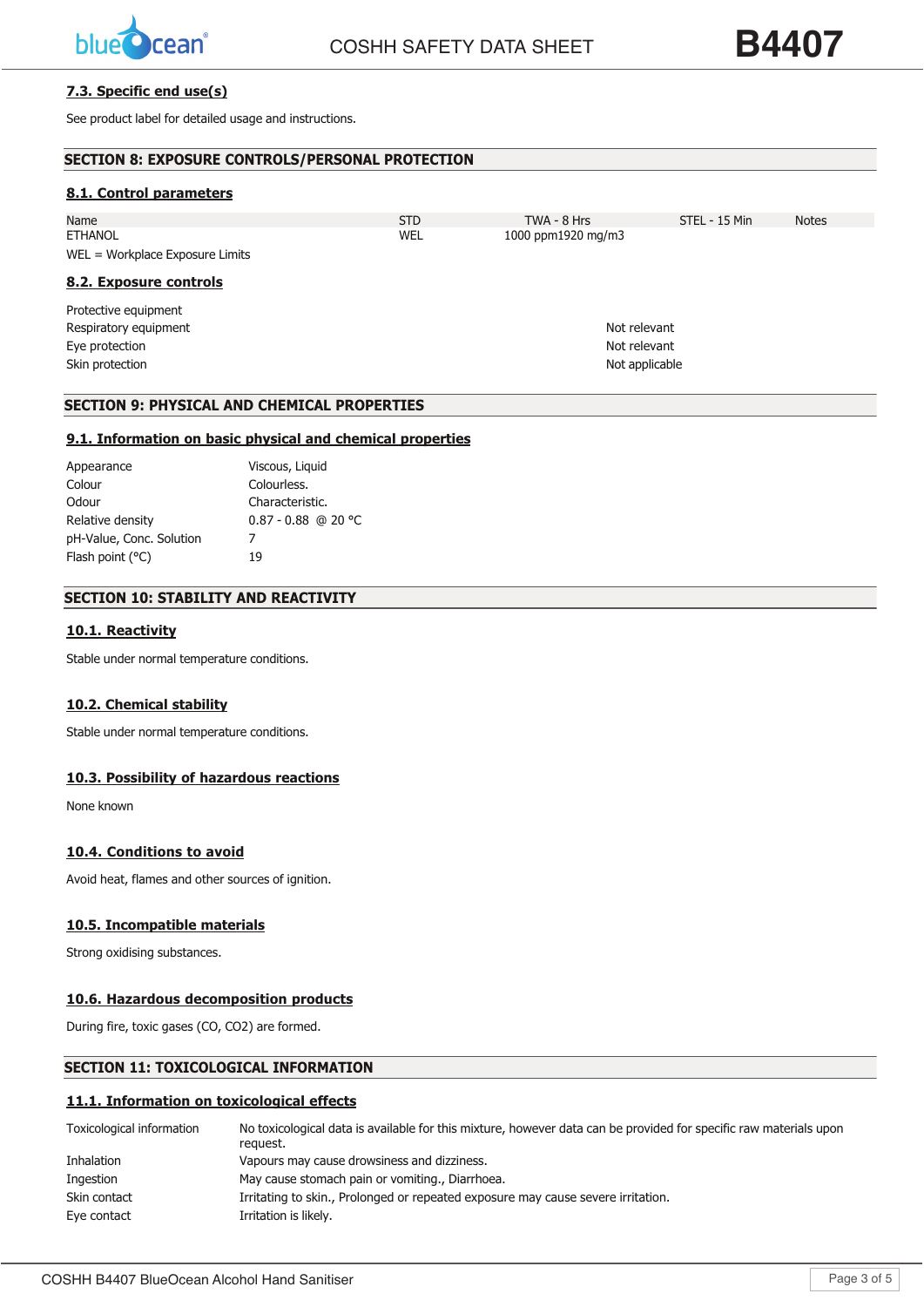

# **7.3. Specific end use(s)**

See product label for detailed usage and instructions.

| <b>SECTION 8: EXPOSURE CONTROLS/PERSONAL PROTECTION</b> |            |                    |               |              |
|---------------------------------------------------------|------------|--------------------|---------------|--------------|
| 8.1. Control parameters                                 |            |                    |               |              |
| Name                                                    | <b>STD</b> | TWA - 8 Hrs        | STEL - 15 Min | <b>Notes</b> |
| <b>ETHANOL</b>                                          | WEL        | 1000 ppm1920 mg/m3 |               |              |
| $WEL = Workplace Exposure Limits$                       |            |                    |               |              |
| 8.2. Exposure controls                                  |            |                    |               |              |
| Protective equipment                                    |            |                    |               |              |
| Respiratory equipment                                   |            | Not relevant       |               |              |
| Eye protection                                          |            | Not relevant       |               |              |
| Skin protection                                         |            | Not applicable     |               |              |
|                                                         |            |                    |               |              |

# **SECTION 9: PHYSICAL AND CHEMICAL PROPERTIES**

## **9.1. Information on basic physical and chemical properties**

| Appearance               | Viscous, Liquid       |
|--------------------------|-----------------------|
| Colour                   | Colourless.           |
| Odour                    | Characteristic.       |
| Relative density         | $0.87 - 0.88$ @ 20 °C |
| pH-Value, Conc. Solution |                       |
| Flash point $(°C)$       | 19                    |
|                          |                       |

# **SECTION 10: STABILITY AND REACTIVITY**

### **10.1. Reactivity**

Stable under normal temperature conditions.

#### **10.2. Chemical stability**

Stable under normal temperature conditions.

#### **10.3. Possibility of hazardous reactions**

None known

# **10.4. Conditions to avoid**

Avoid heat, flames and other sources of ignition.

# **10.5. Incompatible materials**

Strong oxidising substances.

# **10.6. Hazardous decomposition products**

During fire, toxic gases (CO, CO2) are formed.

# **SECTION 11: TOXICOLOGICAL INFORMATION**

#### **11.1. Information on toxicological effects**

| Toxicological information | No toxicological data is available for this mixture, however data can be provided for specific raw materials upon<br>reauest. |
|---------------------------|-------------------------------------------------------------------------------------------------------------------------------|
| Inhalation                | Vapours may cause drowsiness and dizziness.                                                                                   |
| Ingestion                 | May cause stomach pain or vomiting., Diarrhoea.                                                                               |
| Skin contact              | Irritating to skin., Prolonged or repeated exposure may cause severe irritation.                                              |
| Eye contact               | Irritation is likely.                                                                                                         |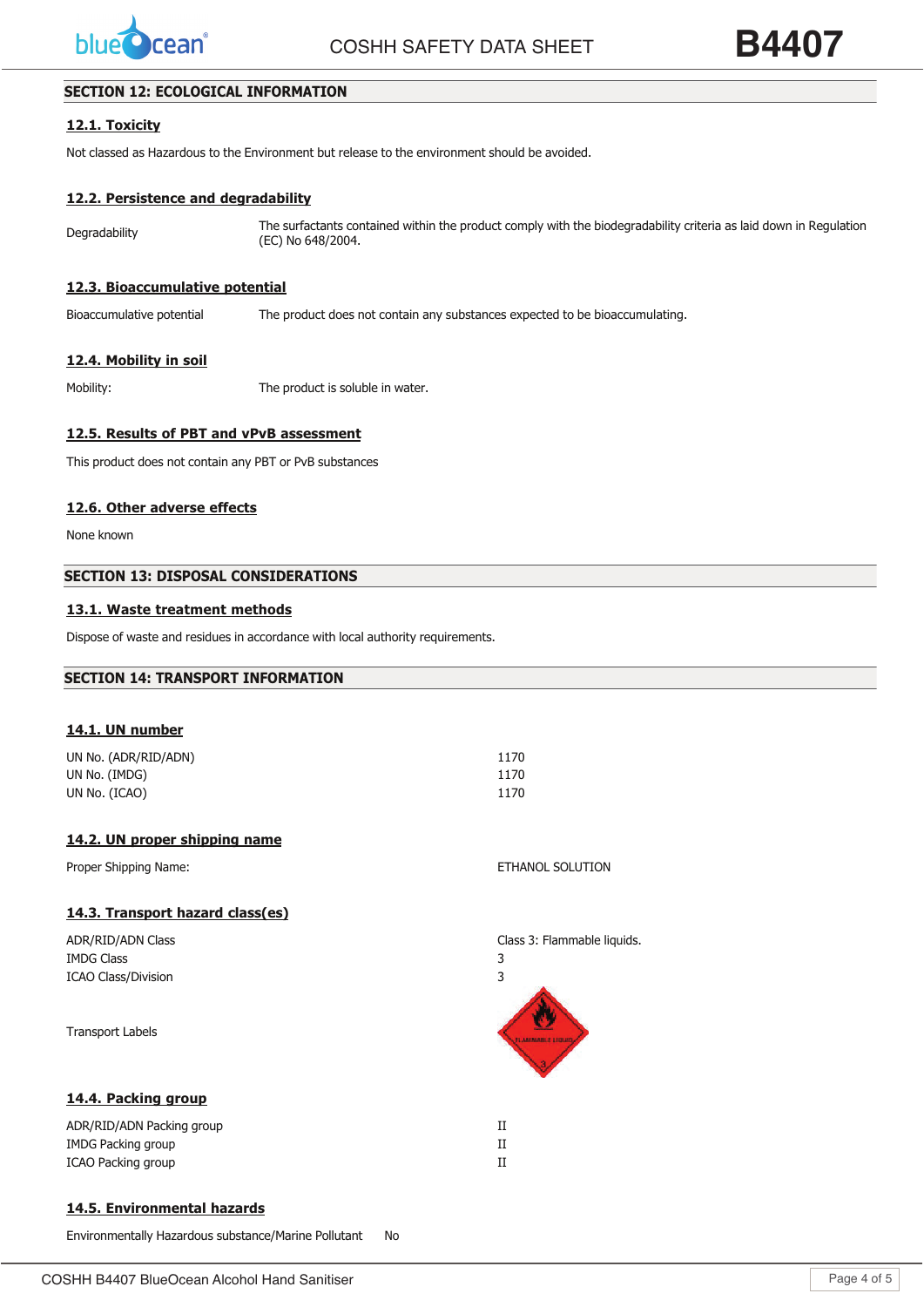

**COSHH SAFETY DATA SHEET** 

**B4407** 

# **SECTION 12: ECOLOGICAL INFORMATION**

# **12.1. Toxicity**

Not classed as Hazardous to the Environment but release to the environment should be avoided.

# **12.2. Persistence and degradability**

Degradability The surfactants contained within the product comply with the biodegradability criteria as laid down in Regulation (EC) No 648/2004.

### **12.3. Bioaccumulative potential**

Bioaccumulative potential The product does not contain any substances expected to be bioaccumulating.

# **12.4. Mobility in soil**

Mobility: The product is soluble in water.

# **12.5. Results of PBT and vPvB assessment**

This product does not contain any PBT or PvB substances

# **12.6. Other adverse effects**

None known

# **SECTION 13: DISPOSAL CONSIDERATIONS**

# **13.1. Waste treatment methods**

Dispose of waste and residues in accordance with local authority requirements.

### **SECTION 14: TRANSPORT INFORMATION**

#### **14.1. UN number**

| UN No. (ADR/RID/ADN) | 1170 |
|----------------------|------|
| UN No. (IMDG)        | 1170 |
| UN No. (ICAO)        | 1170 |

### **14.2. UN proper shipping name**

Proper Shipping Name: ETHANOL SOLUTION

# **14.3. Transport hazard class(es)**

| ADR/RID/ADN Class          | Class 3: Flammable liquids. |
|----------------------------|-----------------------------|
| <b>IMDG Class</b>          | 3                           |
| <b>ICAO Class/Division</b> | 3                           |
| <b>Transport Labels</b>    |                             |
| 14.4. Packing group        |                             |
| ADR/RID/ADN Packing group  | П                           |
| <b>IMDG Packing group</b>  | П                           |
| <b>ICAO Packing group</b>  | П                           |

# **14.5. Environmental hazards**

Environmentally Hazardous substance/Marine Pollutant No